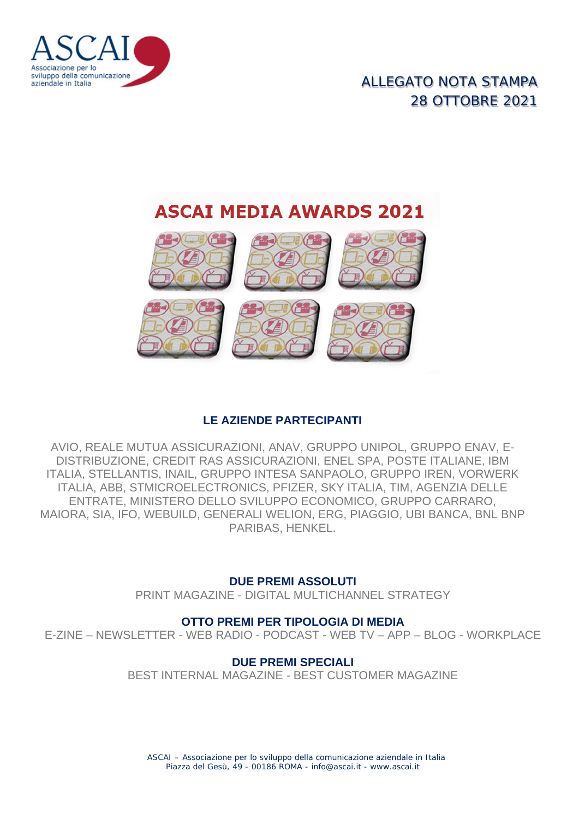

## ALLEGATO NOTA STAMPA 28 OTTOBRE 2021

# **ASCAI MEDIA AWARDS 2021**



### **LE AZIENDE PARTECIPANTI**

AVIO, REALE MUTUA ASSICURAZIONI, ANAV, GRUPPO UNIPOL, GRUPPO ENAV, E-DISTRIBUZIONE, CREDIT RAS ASSICURAZIONI, ENEL SPA, POSTE ITALIANE, IBM ITALIA, STELLANTIS, INAIL, GRUPPO INTESA SANPAOLO, GRUPPO IREN, VORWERK ITALIA, ABB, STMICROELECTRONICS, PFIZER, SKY ITALIA, TIM, AGENZIA DELLE ENTRATE, MINISTERO DELLO SVILUPPO ECONOMICO, GRUPPO CARRARO, MAIORA, SIA, IFO, WEBUILD, GENERALI WELION, ERG, PIAGGIO, UBI BANCA, BNL BNP PARIBAS, HENKEL.

### **DUE PREMI ASSOLUTI**

PRINT MAGAZINE - DIGITAL MULTICHANNEL STRATEGY

### **OTTO PREMI PER TIPOLOGIA DI MEDIA**

E-ZINE – NEWSLETTER - WEB RADIO - PODCAST - WEB TV – APP – BLOG - WORKPLACE

### **DUE PREMI SPECIALI**

BEST INTERNAL MAGAZINE - BEST CUSTOMER MAGAZINE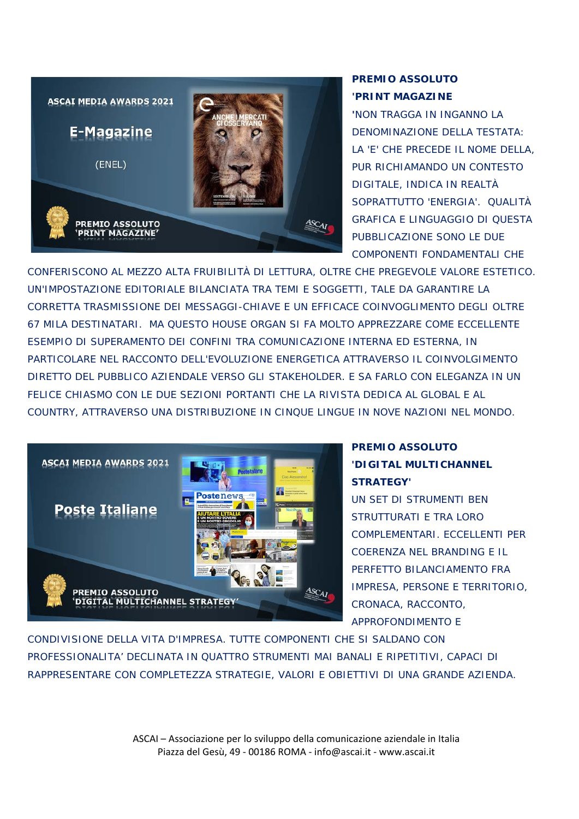

### **PREMIO ASSOLUTO 'PRINT MAGAZINE**

**'**NON TRAGGA IN INGANNO LA DENOMINAZIONE DELLA TESTATA: LA 'E' CHE PRECEDE IL NOME DELLA, PUR RICHIAMANDO UN CONTESTO DIGITALE, INDICA IN REALTÀ SOPRATTUTTO 'ENERGIA'. QUALITÀ GRAFICA E LINGUAGGIO DI QUESTA PUBBLICAZIONE SONO LE DUE COMPONENTI FONDAMENTALI CHE

CONFERISCONO AL MEZZO ALTA FRUIBILITÀ DI LETTURA, OLTRE CHE PREGEVOLE VALORE ESTETICO. UN'IMPOSTAZIONE EDITORIALE BILANCIATA TRA TEMI E SOGGETTI, TALE DA GARANTIRE LA CORRETTA TRASMISSIONE DEI MESSAGGI-CHIAVE E UN EFFICACE COINVOGLIMENTO DEGLI OLTRE 67 MILA DESTINATARI. MA QUESTO HOUSE ORGAN SI FA MOLTO APPREZZARE COME ECCELLENTE ESEMPIO DI SUPERAMENTO DEI CONFINI TRA COMUNICAZIONE INTERNA ED ESTERNA, IN PARTICOLARE NEL RACCONTO DELL'EVOLUZIONE ENERGETICA ATTRAVERSO IL COINVOLGIMENTO DIRETTO DEL PUBBLICO AZIENDALE VERSO GLI STAKEHOLDER. E SA FARLO CON ELEGANZA IN UN FELICE CHIASMO CON LE DUE SEZIONI PORTANTI CHE LA RIVISTA DEDICA AL GLOBAL E AL COUNTRY, ATTRAVERSO UNA DISTRIBUZIONE IN CINQUE LINGUE IN NOVE NAZIONI NEL MONDO.



### **PREMIO ASSOLUTO 'DIGITAL MULTICHANNEL STRATEGY'**

UN SET DI STRUMENTI BEN STRUTTURATI E TRA LORO COMPLEMENTARI. ECCELLENTI PER COERENZA NEL BRANDING E IL PERFETTO BILANCIAMENTO FRA IMPRESA, PERSONE E TERRITORIO, CRONACA, RACCONTO, APPROFONDIMENTO E

CONDIVISIONE DELLA VITA D'IMPRESA. TUTTE COMPONENTI CHE SI SALDANO CON PROFESSIONALITA' DECLINATA IN QUATTRO STRUMENTI MAI BANALI E RIPETITIVI, CAPACI DI RAPPRESENTARE CON COMPLETEZZA STRATEGIE, VALORI E OBIETTIVI DI UNA GRANDE AZIENDA.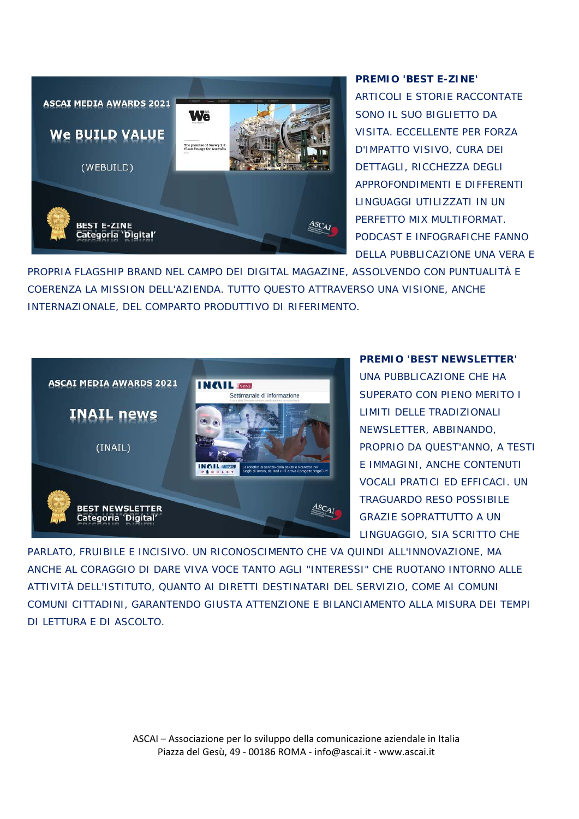

#### **PREMIO 'BEST E-ZINE'**

ARTICOLI E STORIE RACCONTATE SONO IL SUO BIGLIETTO DA VISITA. ECCELLENTE PER FORZA D'IMPATTO VISIVO, CURA DEI DETTAGLI, RICCHEZZA DEGLI APPROFONDIMENTI E DIFFERENTI LINGUAGGI UTILIZZATI IN UN PERFETTO MIX MULTIFORMAT. PODCAST E INFOGRAFICHE FANNO DELLA PUBBLICAZIONE UNA VERA E

PROPRIA FLAGSHIP BRAND NEL CAMPO DEI DIGITAL MAGAZINE, ASSOLVENDO CON PUNTUALITÀ E COERENZA LA MISSION DELL'AZIENDA. TUTTO QUESTO ATTRAVERSO UNA VISIONE, ANCHE INTERNAZIONALE, DEL COMPARTO PRODUTTIVO DI RIFERIMENTO.



#### **PREMIO 'BEST NEWSLETTER'**

UNA PUBBLICAZIONE CHE HA SUPERATO CON PIENO MERITO I LIMITI DELLE TRADIZIONALI NEWSLETTER, ABBINANDO, PROPRIO DA QUEST'ANNO, A TESTI E IMMAGINI, ANCHE CONTENUTI VOCALI PRATICI ED EFFICACI. UN TRAGUARDO RESO POSSIBILE GRAZIE SOPRATTUTTO A UN LINGUAGGIO, SIA SCRITTO CHE

PARLATO, FRUIBILE E INCISIVO. UN RICONOSCIMENTO CHE VA QUINDI ALL'INNOVAZIONE, MA ANCHE AL CORAGGIO DI DARE VIVA VOCE TANTO AGLI "INTERESSI" CHE RUOTANO INTORNO ALLE ATTIVITÀ DELL'ISTITUTO, QUANTO AI DIRETTI DESTINATARI DEL SERVIZIO, COME AI COMUNI COMUNI CITTADINI, GARANTENDO GIUSTA ATTENZIONE E BILANCIAMENTO ALLA MISURA DEI TEMPI DI LETTURA E DI ASCOLTO.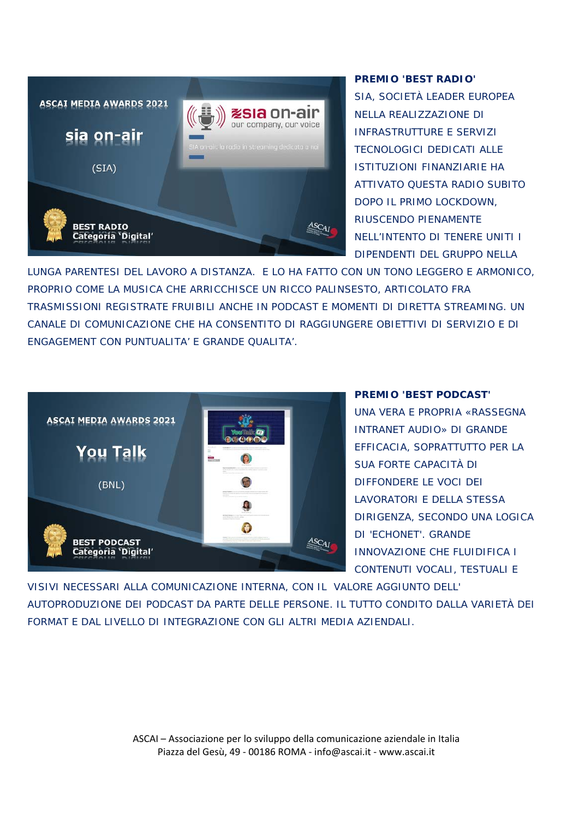

#### **PREMIO 'BEST RADIO'**

SIA, SOCIETÀ LEADER EUROPEA NELLA REALIZZAZIONE DI INFRASTRUTTURE E SERVIZI TECNOLOGICI DEDICATI ALLE ISTITUZIONI FINANZIARIE HA ATTIVATO QUESTA RADIO SUBITO DOPO IL PRIMO LOCKDOWN, RIUSCENDO PIENAMENTE NELL'INTENTO DI TENERE UNITI I DIPENDENTI DEL GRUPPO NELLA

LUNGA PARENTESI DEL LAVORO A DISTANZA. E LO HA FATTO CON UN TONO LEGGERO E ARMONICO, PROPRIO COME LA MUSICA CHE ARRICCHISCE UN RICCO PALINSESTO, ARTICOLATO FRA TRASMISSIONI REGISTRATE FRUIBILI ANCHE IN PODCAST E MOMENTI DI DIRETTA STREAMING. UN CANALE DI COMUNICAZIONE CHE HA CONSENTITO DI RAGGIUNGERE OBIETTIVI DI SERVIZIO E DI ENGAGEMENT CON PUNTUALITA' E GRANDE QUALITA'.



**PREMIO 'BEST PODCAST'**

UNA VERA E PROPRIA «RASSEGNA INTRANET AUDIO» DI GRANDE EFFICACIA, SOPRATTUTTO PER LA SUA FORTE CAPACITÀ DI DIFFONDERE LE VOCI DEI LAVORATORI E DELLA STESSA DIRIGENZA, SECONDO UNA LOGICA DI 'ECHONET'. GRANDE INNOVAZIONE CHE FLUIDIFICA I CONTENUTI VOCALI, TESTUALI E

VISIVI NECESSARI ALLA COMUNICAZIONE INTERNA, CON IL VALORE AGGIUNTO DELL' AUTOPRODUZIONE DEI PODCAST DA PARTE DELLE PERSONE. IL TUTTO CONDITO DALLA VARIETÀ DEI FORMAT E DAL LIVELLO DI INTEGRAZIONE CON GLI ALTRI MEDIA AZIENDALI.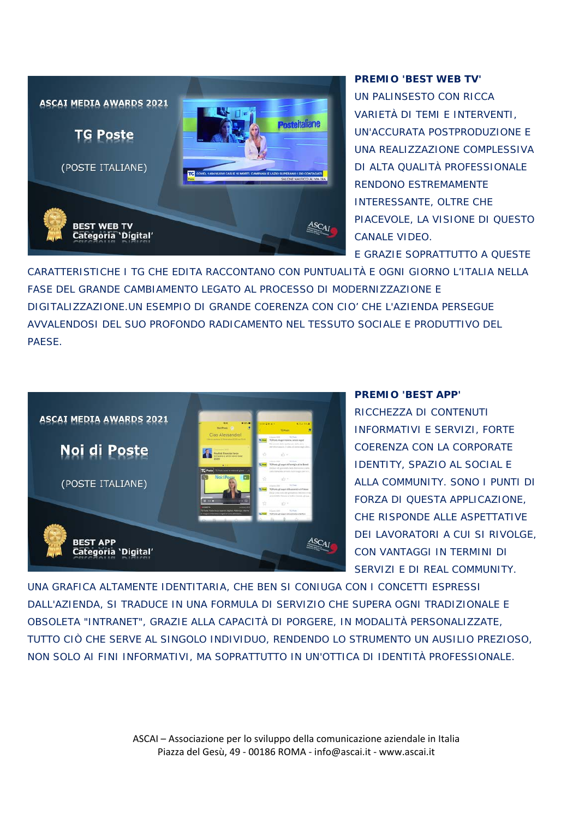

#### **PREMIO 'BEST WEB TV'**

UN PALINSESTO CON RICCA VARIETÀ DI TEMI E INTERVENTI, UN'ACCURATA POSTPRODUZIONE E UNA REALIZZAZIONE COMPLESSIVA DI ALTA QUALITÀ PROFESSIONALE RENDONO ESTREMAMENTE INTERESSANTE, OLTRE CHE PIACEVOLE, LA VISIONE DI QUESTO CANALE VIDEO.

E GRAZIE SOPRATTUTTO A QUESTE

CARATTERISTICHE I TG CHE EDITA RACCONTANO CON PUNTUALITÀ E OGNI GIORNO L'ITALIA NELLA FASE DEL GRANDE CAMBIAMENTO LEGATO AL PROCESSO DI MODERNIZZAZIONE E DIGITALIZZAZIONE.UN ESEMPIO DI GRANDE COERENZA CON CIO' CHE L'AZIENDA PERSEGUE AVVALENDOSI DEL SUO PROFONDO RADICAMENTO NEL TESSUTO SOCIALE E PRODUTTIVO DEL **PAESE** 



#### **PREMIO 'BEST APP'**

RICCHEZZA DI CONTENUTI INFORMATIVI E SERVIZI, FORTE COERENZA CON LA CORPORATE IDENTITY, SPAZIO AL SOCIAL E ALLA COMMUNITY. SONO I PUNTI DI FORZA DI QUESTA APPLICAZIONE, CHE RISPONDE ALLE ASPETTATIVE DEI LAVORATORI A CUI SI RIVOLGE, CON VANTAGGI IN TERMINI DI SERVIZI E DI REAL COMMUNITY.

UNA GRAFICA ALTAMENTE IDENTITARIA, CHE BEN SI CONIUGA CON I CONCETTI ESPRESSI DALL'AZIENDA, SI TRADUCE IN UNA FORMULA DI SERVIZIO CHE SUPERA OGNI TRADIZIONALE E OBSOLETA "INTRANET", GRAZIE ALLA CAPACITÀ DI PORGERE, IN MODALITÀ PERSONALIZZATE, TUTTO CIÒ CHE SERVE AL SINGOLO INDIVIDUO, RENDENDO LO STRUMENTO UN AUSILIO PREZIOSO, NON SOLO AI FINI INFORMATIVI, MA SOPRATTUTTO IN UN'OTTICA DI IDENTITÀ PROFESSIONALE.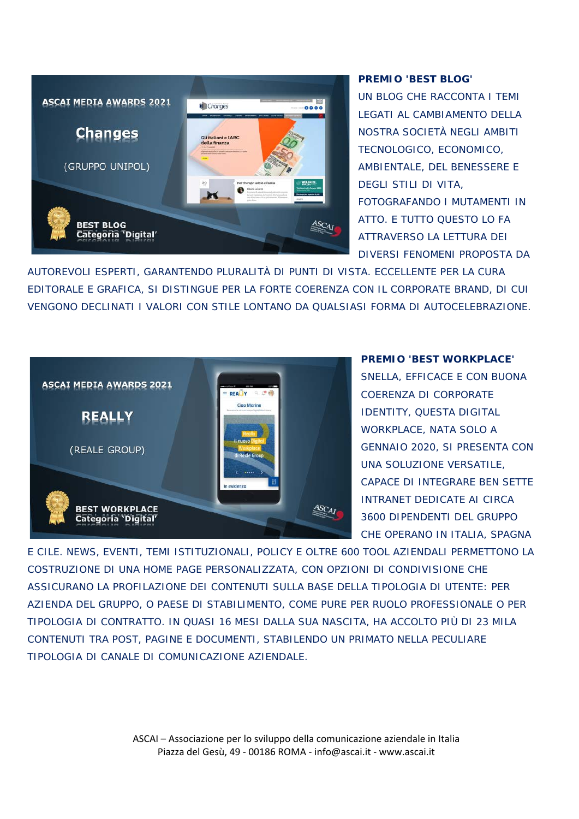

#### **PREMIO 'BEST BLOG'**

UN BLOG CHE RACCONTA I TEMI LEGATI AL CAMBIAMENTO DELLA NOSTRA SOCIETÀ NEGLI AMBITI TECNOLOGICO, ECONOMICO, AMBIENTALE, DEL BENESSERE E DEGLI STILI DI VITA, FOTOGRAFANDO I MUTAMENTI IN ATTO. E TUTTO QUESTO LO FA ATTRAVERSO LA LETTURA DEI DIVERSI FENOMENI PROPOSTA DA

AUTOREVOLI ESPERTI, GARANTENDO PLURALITÀ DI PUNTI DI VISTA. ECCELLENTE PER LA CURA EDITORALE E GRAFICA, SI DISTINGUE PER LA FORTE COERENZA CON IL CORPORATE BRAND, DI CUI VENGONO DECLINATI I VALORI CON STILE LONTANO DA QUALSIASI FORMA DI AUTOCELEBRAZIONE.



#### **PREMIO 'BEST WORKPLACE'**

SNELLA, EFFICACE E CON BUONA COERENZA DI CORPORATE IDENTITY, QUESTA DIGITAL WORKPLACE, NATA SOLO A GENNAIO 2020, SI PRESENTA CON UNA SOLUZIONE VERSATILE, CAPACE DI INTEGRARE BEN SETTE INTRANET DEDICATE AI CIRCA 3600 DIPENDENTI DEL GRUPPO CHE OPERANO IN ITALIA, SPAGNA

E CILE. NEWS, EVENTI, TEMI ISTITUZIONALI, POLICY E OLTRE 600 TOOL AZIENDALI PERMETTONO LA COSTRUZIONE DI UNA HOME PAGE PERSONALIZZATA, CON OPZIONI DI CONDIVISIONE CHE ASSICURANO LA PROFILAZIONE DEI CONTENUTI SULLA BASE DELLA TIPOLOGIA DI UTENTE: PER AZIENDA DEL GRUPPO, O PAESE DI STABILIMENTO, COME PURE PER RUOLO PROFESSIONALE O PER TIPOLOGIA DI CONTRATTO. IN QUASI 16 MESI DALLA SUA NASCITA, HA ACCOLTO PIÙ DI 23 MILA CONTENUTI TRA POST, PAGINE E DOCUMENTI, STABILENDO UN PRIMATO NELLA PECULIARE TIPOLOGIA DI CANALE DI COMUNICAZIONE AZIENDALE.